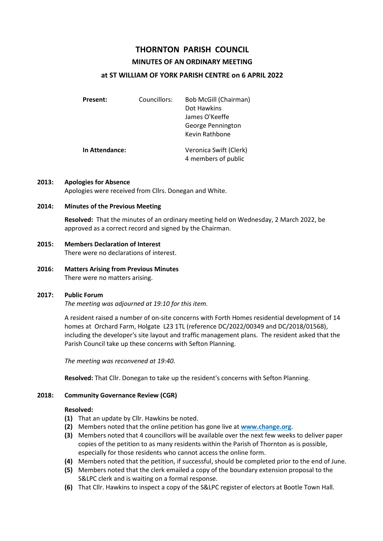# **THORNTON PARISH COUNCIL**

## **MINUTES OF AN ORDINARY MEETING**

## **at ST WILLIAM OF YORK PARISH CENTRE on 6 APRIL 2022**

| <b>Present:</b> | Councillors: | <b>Bob McGill (Chairman)</b> |
|-----------------|--------------|------------------------------|
|                 |              | Dot Hawkins                  |
|                 |              | James O'Keeffe               |
|                 |              | George Pennington            |
|                 |              | Kevin Rathbone               |
| In Attendance:  |              | Veronica Swift (Clerk)       |
|                 |              | 4 members of public          |

#### **2013: Apologies for Absence**

Apologies were received from Cllrs. Donegan and White.

#### **2014: Minutes of the Previous Meeting**

**Resolved:** That the minutes of an ordinary meeting held on Wednesday, 2 March 2022, be approved as a correct record and signed by the Chairman.

## **2015: Members Declaration of Interest**

There were no declarations of interest.

**2016: Matters Arising from Previous Minutes**  There were no matters arising.

#### **2017: Public Forum**

*The meeting was adjourned at 19:10 for this item.*

A resident raised a number of on-site concerns with Forth Homes residential development of 14 homes at Orchard Farm, Holgate L23 1TL (reference DC/2022/00349 and DC/2018/01568), including the developer's site layout and traffic management plans. The resident asked that the Parish Council take up these concerns with Sefton Planning.

*The meeting was reconvened at 19:40.*

**Resolved:** That Cllr. Donegan to take up the resident's concerns with Sefton Planning.

#### **2018: Community Governance Review (CGR)**

#### **Resolved:**

- **(1)** That an update by Cllr. Hawkins be noted.
- **(2)** Members noted that the online petition has gone live at **www.change.org**.
- **(3)** Members noted that 4 councillors will be available over the next few weeks to deliver paper copies of the petition to as many residents within the Parish of Thornton as is possible, especially for those residents who cannot access the online form.
- **(4)** Members noted that the petition, if successful, should be completed prior to the end of June.
- **(5)** Members noted that the clerk emailed a copy of the boundary extension proposal to the S&LPC clerk and is waiting on a formal response.
- **(6)** That Cllr. Hawkins to inspect a copy of the S&LPC register of electors at Bootle Town Hall.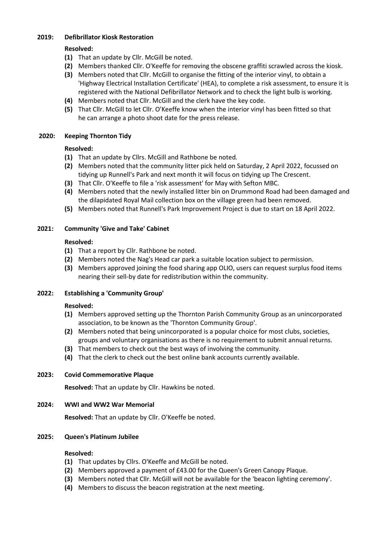## **2019: Defibrillator Kiosk Restoration**

# **Resolved:**

- **(1)** That an update by Cllr. McGill be noted.
- **(2)** Members thanked Cllr. O'Keeffe for removing the obscene graffiti scrawled across the kiosk.
- **(3)** Members noted that Cllr. McGill to organise the fitting of the interior vinyl, to obtain a 'Highway Electrical Installation Certificate' (HEA), to complete a risk assessment, to ensure it is registered with the National Defibrillator Network and to check the light bulb is working.
- **(4)** Members noted that Cllr. McGill and the clerk have the key code.
- **(5)** That Cllr. McGill to let Cllr. O'Keeffe know when the interior vinyl has been fitted so that he can arrange a photo shoot date for the press release.

# **2020: Keeping Thornton Tidy**

# **Resolved:**

- **(1)** That an update by Cllrs. McGill and Rathbone be noted.
- **(2)** Members noted that the community litter pick held on Saturday, 2 April 2022, focussed on tidying up Runnell's Park and next month it will focus on tidying up The Crescent.
- **(3)** That Cllr. O'Keeffe to file a 'risk assessment' for May with Sefton MBC.
- **(4)** Members noted that the newly installed litter bin on Drummond Road had been damaged and the dilapidated Royal Mail collection box on the village green had been removed.
- **(5)** Members noted that Runnell's Park Improvement Project is due to start on 18 April 2022.

# **2021: Community 'Give and Take' Cabinet**

# **Resolved:**

- **(1)** That a report by Cllr. Rathbone be noted.
- **(2)** Members noted the Nag's Head car park a suitable location subject to permission.
- **(3)** Members approved joining the food sharing app OLIO, users can request surplus food items nearing their sell-by date for redistribution within the community.

# **2022: Establishing a 'Community Group'**

# **Resolved:**

- **(1)** Members approved setting up the Thornton Parish Community Group as an unincorporated association, to be known as the 'Thornton Community Group'.
- **(2)** Members noted that being unincorporated is a popular choice for most clubs, societies, groups and voluntary organisations as there is no requirement to submit annual returns.
- **(3)** That members to check out the best ways of involving the community.
- **(4)** That the clerk to check out the best online bank accounts currently available.

# **2023: Covid Commemorative Plaque**

**Resolved:** That an update by Cllr. Hawkins be noted.

# **2024: WWI and WW2 War Memorial**

**Resolved:** That an update by Cllr. O'Keeffe be noted.

# **2025: Queen's Platinum Jubilee**

### **Resolved:**

- **(1)** That updates by Cllrs. O'Keeffe and McGill be noted.
- **(2)** Members approved a payment of £43.00 for the Queen's Green Canopy Plaque.
- **(3)** Members noted that Cllr. McGill will not be available for the 'beacon lighting ceremony'.
- **(4)** Members to discuss the beacon registration at the next meeting.